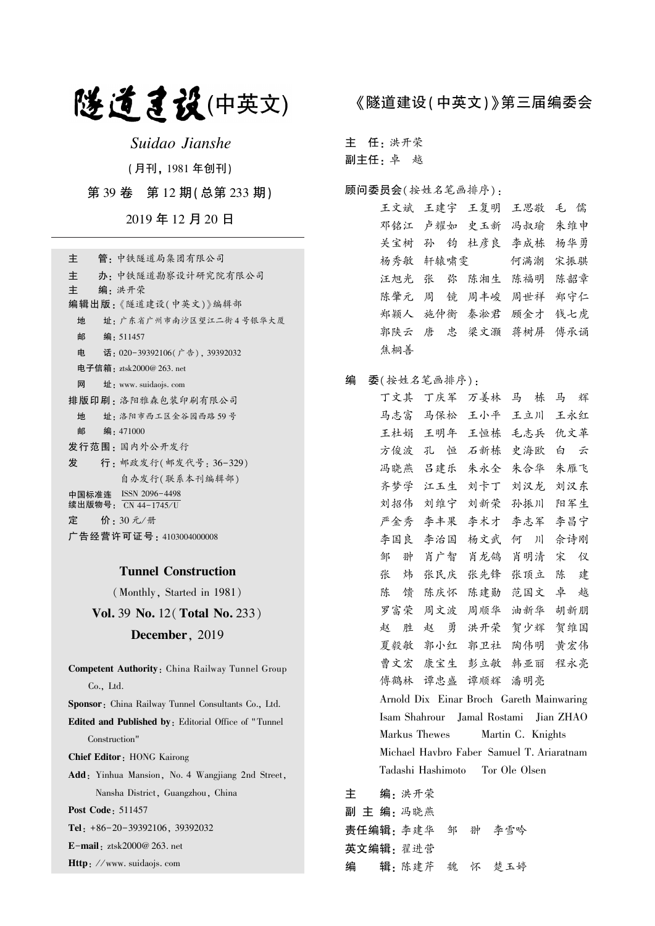# 隧道建设(中英文)

Suidao Jianshe

(月刊, 1981 年创刊)

第 39 卷 第 12 期(总第 233 期)

2019 年 12 月 20 日

| 管 - 中铁隧道局集团有限公司<br>主                        |
|---------------------------------------------|
| 主<br>办 · 中铁隧道勘察设计研究院有限公司                    |
| 主<br>编•洪开荣                                  |
| 编辑出版:《隧道建设(中英文)》编辑部                         |
| 地<br>址 · 广东省广州市南沙区望江二街4号银华大厦                |
| 邮<br>编:511457                               |
| 电<br>话: 020-39392106(广告), 39392032          |
| 电子信箱:ztsk2000@ 263. net                     |
| 网<br>$\pm$ : www. suidaojs. com             |
| 排版印刷 : 洛阳雅森包装印刷有限公司                         |
| 址 · 洛阳市西工区金谷园西路 59号<br>地                    |
| 邮<br>编:471000                               |
| 发行范围 : 国内外公开发行                              |
| 行: 邮政发行(邮发代号: 36-329)<br>发                  |
| 自办发行(联系本刊编辑部)                               |
| 中国标准连 ISSN 2096-4498<br>续出版物号: CN 44−1745∕U |
| 定   价: 30 元/册                               |
| 广告经营许可证号 : 4103004000008                    |

## Tunnel Construction

(Monthly, Started in 1981)

Vol. 39 No. 12(Total No. 233)

## December, 2019

Competent Authority: China Railway Tunnel Group Co., Ltd. Sponsor: China Railway Tunnel Consultants Co., Ltd. Edited and Published by: Editorial Office of " Tunnel Construction" Chief Editor: HONG Kairong Add: Yinhua Mansion, No. 4 Wangjiang 2nd Street, Nansha District, Guangzhou, China Post Code: 511457 Tel: +86-20-39392106, 39392032 E-mail: ztsk2000@ 263. net

Http: //www. suidaojs. com

## 《隧道建设(中英文)》第三届编委会

主 任: 洪开荣

副主任: 卓 越

### 顾问委员会(按姓名笔画排序):

王文斌 王建宇 王复明 王思敬 毛 儒 邓铭江 卢耀如 史玉新 冯叔瑜 朱维申 关宝树 孙 钧 杜彦良 李成栋 杨华勇 杨秀敏 轩辕啸雯 何满潮 宋振骐 汪旭光 张 弥 陈湘生 陈福明 陈韶章 陈肇元 周 镜 周丰峻 周世祥 郑守仁 郑颖人 施仲衡 秦淞君 顾金才 钱七虎 郭陕云 唐 忠 梁文灏 蒋树屏 傅承诵 焦桐善

## 编 委(按姓名笔画排序):

丁文其 丁庆军 万姜林 马 栋 马 辉 马志富 马保松 王小平 王立川 王永红 王杜娟 王明年 王恒栋 毛志兵 仇文革 方俊波 孔 恒 石新栋 史海欧 白 云 冯晓燕 吕建乐 朱永全 朱合华 朱雁飞 齐梦学 江玉生 刘卡丁 刘汉龙 刘汉东 刘招伟 刘维宁 刘新荣 孙振川 阳军生 严金秀 李丰果 李术才 李志军 李昌宁 李国良 李治国 杨文武 何 川 佘诗刚 邹 翀 肖广智 肖龙鸽 肖明清 宋 仪 张 炜 张民庆 张先锋 张顶立 陈 建 陈 馈 陈庆怀 陈建勋 范国文 卓 越 罗富荣 周文波 周顺华 油新华 胡新朋 赵 胜 赵 勇 洪开荣 贺少辉 贺维国 夏毅敏 郭小红 郭卫社 陶伟明 黄宏伟 曹文宏 康宝生 彭立敏 韩亚丽 程永亮 傅鹤林 谭忠盛 谭顺辉 潘明亮 Arnold Dix Einar Broch Gareth Mainwaring Isam Shahrour Jamal Rostami Jian ZHAO Markus Thewes Martin C. Knights Michael Havbro Faber Samuel T. Ariaratnam Tadashi Hashimoto Tor Ole Olsen

主 编: 洪开荣 副 主 编: 冯晓燕 责任编辑: 李建华 邹 翀 李雪吟 英文编辑: 翟进营 编 辑: 陈建芹 魏 怀 楚玉婷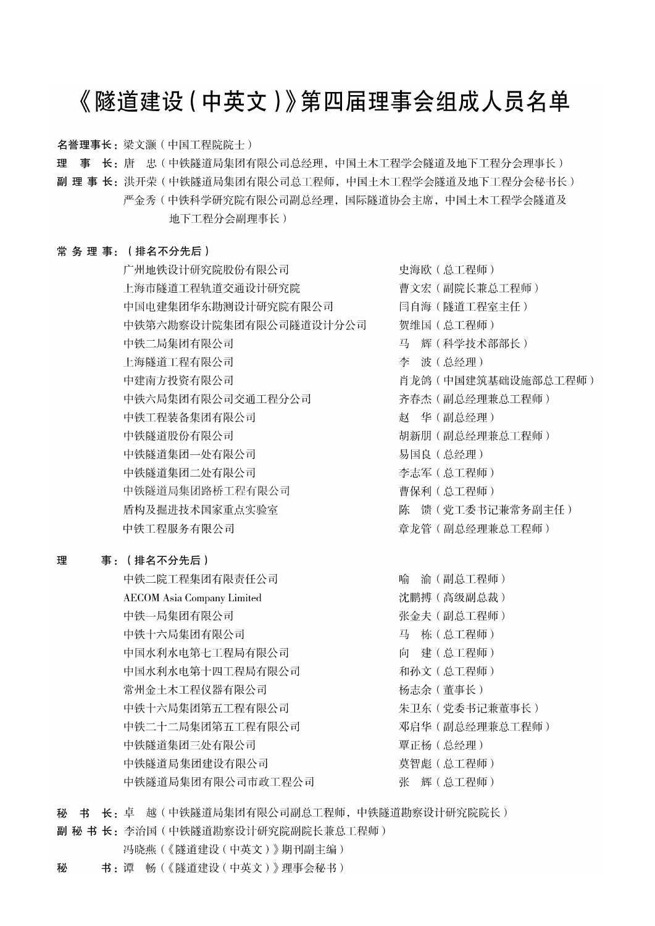# 《隧道建设 (中英文)》第四届理事会组成人员名单

名誉理事长: 梁文灏 (中国工程院院士)

理 事 长: 唐 忠(中铁隧道局集团有限公司总经理, 中国土木工程学会隧道及地下工程分会理事长)

副 理 事 长:洪开荣(中铁隧道局集团有限公司总工程师,中国土木工程学会隧道及地下工程分会秘书长) 严金秀 ( 中铁科学研究院有限公司副总经理, 国际隧道协会主席, 中国土木工程学会隧道及 地下工程分会副理事长)

## 常务理事: (排名不分先后)

广州地铁设计研究院股份有限公司 上海市隧道工程轨道交通设计研究院 中国电建集团华东勘测设计研究院有限公司 中铁第六勘察设计院集团有限公司隧道设计分公司 中铁二局集团有限公司 上海隧道工程有限公司 中建南方投资有限公司 中铁六局集团有限公司交通工程分公司 中铁工程装备集团有限公司 中铁隧道股份有限公司 中铁隧道集团一处有限公司 中铁隧道集团二处有限公司 中铁隧道局集团路桥工程有限公司 盾构及掘进技术国家重点实验室 中铁工程服务有限公司

#### 理 事: (排名不分先后)

中铁二院工程集团有限责任公司 **AECOM** Asia Company Limited 中铁一局集团有限公司 中铁十六局集团有限公司 中国水利水电第七工程局有限公司 中国水利水电第十四工程局有限公司 常州金土木工程仪器有限公司 中铁十六局集团第五工程有限公司 中铁二十二局集团第五工程有限公司 中铁隧道集团三处有限公司 中铁隧道局集团建设有限公司 中铁隧道局集团有限公司市政工程公司

史海欧 (总工程师) 曹文宏(副院长兼总工程师) 闫自海(隧道工程室主任) 贺维国 (总工程师) 马 辉(科学技术部部长) 李 波(总经理) 肖龙鸽 (中国建筑基础设施部总工程师) 齐春杰 (副总经理兼总工程师) 赵 华(副总经理) 胡新朋 (副总经理兼总工程师) 易国良 (总经理) 李志军 (总工程师) 曹保利 (总工程师) 陈 馈 (党工委书记兼常务副主任) 章龙管(副总经理兼总工程师)

喻 渝(副总工程师) 沈鹏搏(高级副总裁) 张金夫 (副总工程师) 马 栋 (总工程师) 向 建(总工程师) 和孙文 (总工程师) 杨志余(董事长) 朱卫东 (党委书记兼董事长) 邓启华 (副总经理兼总工程师) 覃正杨 (总经理) 莫智彪 (总工程师) 张 辉(总工程师)

秘 书 长: 卓 越(中铁隧道局集团有限公司副总工程师,中铁隧道勘察设计研究院院长)

副 秘 书 长: 李治国 (中铁隧道勘察设计研究院副院长兼总工程师)

- 冯晓燕(《隧道建设(中英文)》期刊副主编)
- 书:谭 畅(《隧道建设(中英文)》理事会秘书) 秘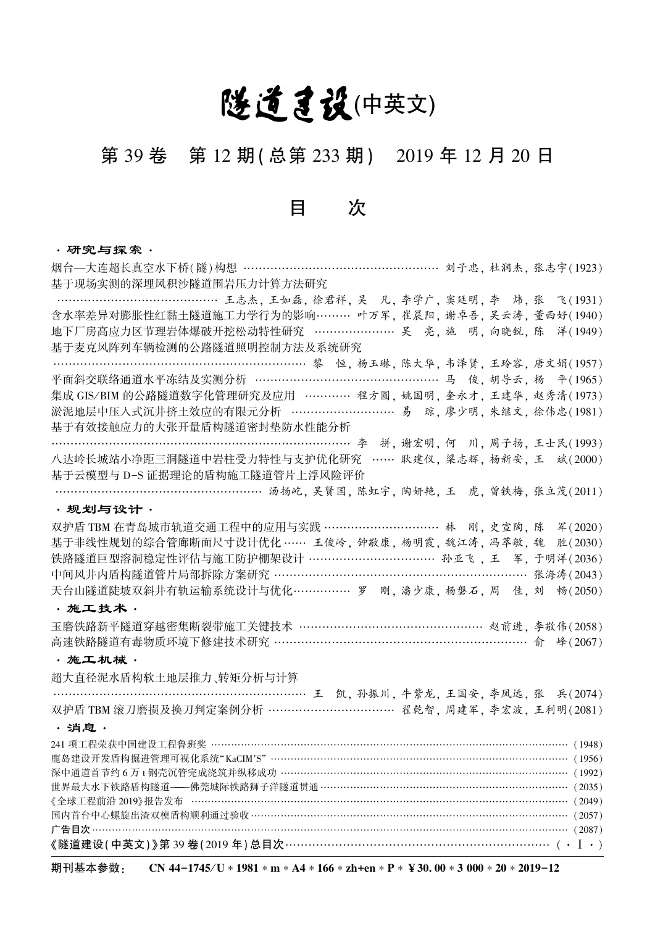# 隧道急设(中英文)

# 第 39 卷 第 12 期 ( 总第 233 期) 2019 年 12 月 20 日

## 目 次

### ·研究与探索·

烟台—大连超长真空水下桥(隧)构想 …………………………………………… 刘子忠, 杜润杰, 张志宇(1923) 基于现场实测的深埋风积沙隧道围岩压力计算方法研究 ……………………………………… 王志杰, 王如磊, 徐君祥, 吴 凡, 李学广, 窦廷明, 李 炜, 张 飞(1931) 含水率差异对膨胀性红黏土隧道施工力学行为的影响……… 叶万军, 崔晨阳, 谢卓吾, 吴云涛, 董西好(1940) 地下厂房高应力区节理岩体爆破开挖松动特性研究 ………………… 吴 亮, 施 明, 向晓锐, 陈 洋(1949) 基于麦克风阵列车辆检测的公路隧道照明控制方法及系统研究 …………………………………………………………… 黎 恒, 杨玉琳, 陈大华, 韦泽贤, 王玲容, 唐文娟(1957) 平面斜交联络通道水平冻结及实测分析 ………………………………………………… 马 俊, 胡导云, 杨 平(1965) 集成 GIS/BIM 的公路隧道数字化管理研究及应用 ………… 程方圆, 姚国明, 奎永才, 王建华, 赵秀清(1973) 淤泥地层中压入式沉井挤土效应的有限元分析 ……………………… 易 琼, 廖少明, 朱继文, 徐伟忠(1981) 基于有效接触应力的大张开量盾构隧道密封垫防水性能分析 …………………………………………………………………… 李 拼, 谢宏明, 何 川, 周子扬, 王士民(1993) 八达岭长城站小净距三洞隧道中岩柱受力特性与支护优化研究 …… 耿建仪, 梁志辉, 杨新安, 王 斌(2000) 基于云模型与 D-S 证据理论的盾构施工隧道管片上浮风险评价 ……………………………………………… 汤扬屹, 吴贤国, 陈虹宇, 陶妍艳, 王 虎, 曾铁梅, 张立茂(2011) ·规划与设计· 双护盾 TBM 在青岛城市轨道交通工程中的应用与实践 ………………………… 林 刚, 史宣陶, 陈 军(2020) 基于非线性规划的综合管廊断面尺寸设计优化 …… 王俊岭, 钟敬康, 杨明霞, 魏江涛, 冯萃敏, 魏 胜(2030) 铁路隧道巨型溶洞稳定性评估与施工防护棚架设计 …………………………… 孙亚飞 , 王 军, 于明洋(2036) 中间风井内盾构隧道管片局部拆除方案研究 ……………………………………………………… 张海涛(2043) 天台山隧道陡坡双斜井有轨运输系统设计与优化…………… 罗 刚, 潘少康, 杨磐石, 周 佳, 刘 畅(2050) ·施工技术· 玉磨铁路新平隧道穿越密集断裂带施工关键技术 ………………………………………… 赵前进, 李敬伟(2058) 高速铁路隧道有毒物质环境下修建技术研究 ………………………………………………………… 俞 峰(2067) ·施工机械· 超大直径泥水盾构软土地层推力、转矩分析与计算 …………………………………………………………………………王 凯, 孙振川, 牛紫龙, 王国安, 李凤远, 张 兵(2074) 双护盾 TBM 滚刀磨损及换刀判定案例分析 …………………………… 翟乾智, 周建军, 李宏波, 王利明(2081) ·消息· 241 项工程荣获中国建设工程鲁班奖 ……………………………………………………………………………………………… (1948) 鹿岛建设开发盾构掘进管理可视化系统"KaCIM′S" ……………………………………………………………………………… (1956) 深中通道首节约 6 万 t 钢壳沉管完成浇筑并纵移成功 …………………………………………………………………………… (1992) 世界最大水下铁路盾构隧道———佛莞城际铁路狮子洋隧道贯通………………………………………………………………… (2035) 《全球工程前沿 2019》报告发布 …………………………………………………………………………………………………… (2049) 国内首台中心螺旋出渣双模盾构顺利通过验收…………………………………………………………………………………… (2057) 广告目次……………………………………………………………………………………………………………………………… (2087) 《隧道建设(中英文)》第 39 卷(2019 年)总目次………………………………………………………………(• Ⅰ•)

期刊基本参数: CN 44-1745/U ∗ 1981 \* m \* A4 \* 166 \* zh+en \* P \* ¥ 30. 00 \* 3 000 \* 20 \* 2019-12